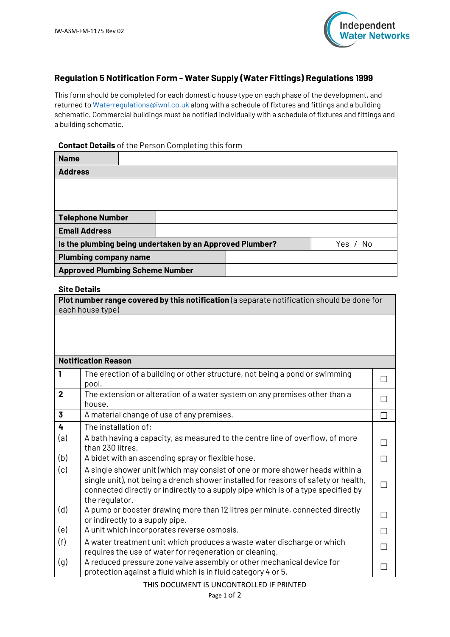

# **Regulation 5 Notification Form - Water Supply (Water Fittings) Regulations 1999**

This form should be completed for each domestic house type on each phase of the development, and returned to [Waterregulations@iwnl.co.uk](mailto:Waterregulations@iwnl.co.uk) along with a schedule of fixtures and fittings and a building schematic. Commercial buildings must be notified individually with a schedule of fixtures and fittings and a building schematic.

#### **Contact Details** of the Person Completing this form

| <b>Name</b>                                                                                                                                                             |                                                                                                                                                                                                                                                                                                                                                                    |                                                                               |          |        |  |
|-------------------------------------------------------------------------------------------------------------------------------------------------------------------------|--------------------------------------------------------------------------------------------------------------------------------------------------------------------------------------------------------------------------------------------------------------------------------------------------------------------------------------------------------------------|-------------------------------------------------------------------------------|----------|--------|--|
| <b>Address</b>                                                                                                                                                          |                                                                                                                                                                                                                                                                                                                                                                    |                                                                               |          |        |  |
|                                                                                                                                                                         |                                                                                                                                                                                                                                                                                                                                                                    |                                                                               |          |        |  |
|                                                                                                                                                                         |                                                                                                                                                                                                                                                                                                                                                                    |                                                                               |          |        |  |
|                                                                                                                                                                         | <b>Telephone Number</b>                                                                                                                                                                                                                                                                                                                                            |                                                                               |          |        |  |
|                                                                                                                                                                         | <b>Email Address</b>                                                                                                                                                                                                                                                                                                                                               |                                                                               |          |        |  |
|                                                                                                                                                                         | Is the plumbing being undertaken by an Approved Plumber?                                                                                                                                                                                                                                                                                                           |                                                                               | Yes / No |        |  |
|                                                                                                                                                                         | <b>Plumbing company name</b>                                                                                                                                                                                                                                                                                                                                       |                                                                               |          |        |  |
| <b>Approved Plumbing Scheme Number</b>                                                                                                                                  |                                                                                                                                                                                                                                                                                                                                                                    |                                                                               |          |        |  |
|                                                                                                                                                                         |                                                                                                                                                                                                                                                                                                                                                                    |                                                                               |          |        |  |
| <b>Site Details</b><br>Plot number range covered by this notification (a separate notification should be done for                                                       |                                                                                                                                                                                                                                                                                                                                                                    |                                                                               |          |        |  |
| each house type)                                                                                                                                                        |                                                                                                                                                                                                                                                                                                                                                                    |                                                                               |          |        |  |
|                                                                                                                                                                         |                                                                                                                                                                                                                                                                                                                                                                    |                                                                               |          |        |  |
|                                                                                                                                                                         |                                                                                                                                                                                                                                                                                                                                                                    |                                                                               |          |        |  |
|                                                                                                                                                                         |                                                                                                                                                                                                                                                                                                                                                                    |                                                                               |          |        |  |
| <b>Notification Reason</b>                                                                                                                                              |                                                                                                                                                                                                                                                                                                                                                                    |                                                                               |          |        |  |
| 1                                                                                                                                                                       | The erection of a building or other structure, not being a pond or swimming                                                                                                                                                                                                                                                                                        |                                                                               |          | П      |  |
|                                                                                                                                                                         | pool.                                                                                                                                                                                                                                                                                                                                                              |                                                                               |          |        |  |
| $\mathbf{2}$                                                                                                                                                            | house.                                                                                                                                                                                                                                                                                                                                                             | The extension or alteration of a water system on any premises other than a    |          |        |  |
| 3                                                                                                                                                                       | A material change of use of any premises.                                                                                                                                                                                                                                                                                                                          |                                                                               |          | П      |  |
| 4                                                                                                                                                                       | The installation of:                                                                                                                                                                                                                                                                                                                                               |                                                                               |          |        |  |
| (a)                                                                                                                                                                     |                                                                                                                                                                                                                                                                                                                                                                    | A bath having a capacity, as measured to the centre line of overflow, of more |          | П      |  |
|                                                                                                                                                                         | than 230 litres.                                                                                                                                                                                                                                                                                                                                                   |                                                                               |          |        |  |
| (b)                                                                                                                                                                     | A bidet with an ascending spray or flexible hose.                                                                                                                                                                                                                                                                                                                  | П                                                                             |          |        |  |
| (c)                                                                                                                                                                     |                                                                                                                                                                                                                                                                                                                                                                    | A single shower unit (which may consist of one or more shower heads within a  |          |        |  |
| single unit), not being a drench shower installed for reasons of safety or health,<br>connected directly or indirectly to a supply pipe which is of a type specified by |                                                                                                                                                                                                                                                                                                                                                                    |                                                                               |          | $\Box$ |  |
|                                                                                                                                                                         | the regulator.                                                                                                                                                                                                                                                                                                                                                     |                                                                               |          |        |  |
| $\sqrt{2}$                                                                                                                                                              | $\mathbf{r} = \mathbf{r} + \mathbf{r}$ and $\mathbf{r} = \mathbf{r} + \mathbf{r}$ and $\mathbf{r} = \mathbf{r} + \mathbf{r}$ and $\mathbf{r} = \mathbf{r} + \mathbf{r}$ and $\mathbf{r} = \mathbf{r} + \mathbf{r}$ and $\mathbf{r} = \mathbf{r} + \mathbf{r}$ and $\mathbf{r} = \mathbf{r} + \mathbf{r}$ and $\mathbf{r} = \mathbf{r} + \mathbf{r}$ and $\mathbf{$ |                                                                               |          |        |  |

- (d)  $\vert$  A pump or booster drawing more than 12 litres per minute, connected directly A pump or booster drawing more than iz litres per minute, connected directly  $\Box$ <br>or indirectly to a supply pipe.
- 
- (e)  $\begin{array}{|c|c|c|}\n\hline\n\text{(A unit which incorporates reverse osmosis.} & \text{(C) } \end{array}$  A unit which incorporates reverse osmosis. A water treatment unit which produces a waste water discharge or which A water treatment unit which produces a waste water discharge or which  $\Box$
- (g)  $\vert$  A reduced pressure zone valve assembly or other mechanical device for A reduced pressure zone vaive assembly of other mechanical device for  $\Box$ <br>protection against a fluid which is in fluid category 4 or 5.

#### THIS DOCUMENT IS UNCONTROLLED IF PRINTED